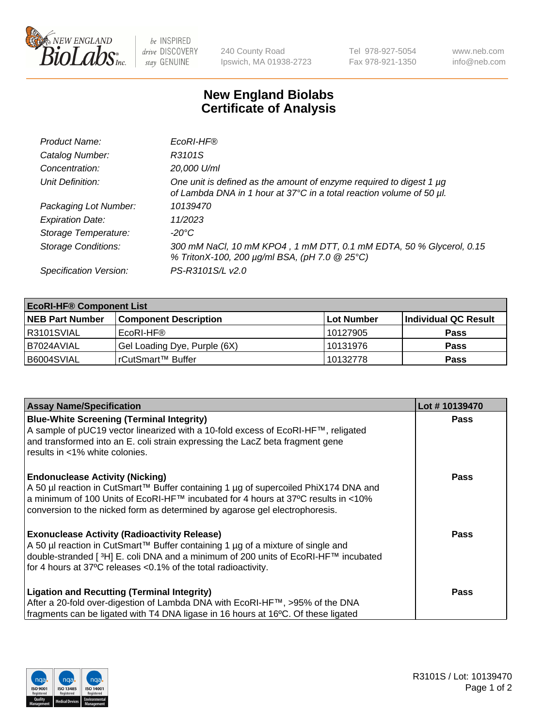

 $be$  INSPIRED drive DISCOVERY stay GENUINE

240 County Road Ipswich, MA 01938-2723 Tel 978-927-5054 Fax 978-921-1350 www.neb.com info@neb.com

## **New England Biolabs Certificate of Analysis**

| Product Name:              | EcoRI-HF®                                                                                                                                   |
|----------------------------|---------------------------------------------------------------------------------------------------------------------------------------------|
| Catalog Number:            | R3101S                                                                                                                                      |
| Concentration:             | 20,000 U/ml                                                                                                                                 |
| Unit Definition:           | One unit is defined as the amount of enzyme required to digest 1 µg<br>of Lambda DNA in 1 hour at 37°C in a total reaction volume of 50 µl. |
| Packaging Lot Number:      | 10139470                                                                                                                                    |
| <b>Expiration Date:</b>    | 11/2023                                                                                                                                     |
| Storage Temperature:       | -20°C                                                                                                                                       |
| <b>Storage Conditions:</b> | 300 mM NaCl, 10 mM KPO4, 1 mM DTT, 0.1 mM EDTA, 50 % Glycerol, 0.15<br>% TritonX-100, 200 µg/ml BSA, (pH 7.0 @ 25°C)                        |
| Specification Version:     | PS-R3101S/L v2.0                                                                                                                            |

| <b>EcoRI-HF® Component List</b> |                              |                   |                      |  |  |
|---------------------------------|------------------------------|-------------------|----------------------|--|--|
| <b>NEB Part Number</b>          | <b>Component Description</b> | <b>Lot Number</b> | Individual QC Result |  |  |
| IR3101SVIAL                     | EcoRI-HF®                    | 10127905          | <b>Pass</b>          |  |  |
| B7024AVIAL                      | Gel Loading Dye, Purple (6X) | 10131976          | <b>Pass</b>          |  |  |
| B6004SVIAL                      | l rCutSmart™ Buffer          | 10132778          | <b>Pass</b>          |  |  |

| <b>Assay Name/Specification</b>                                                                                                                                                    | Lot #10139470 |
|------------------------------------------------------------------------------------------------------------------------------------------------------------------------------------|---------------|
| <b>Blue-White Screening (Terminal Integrity)</b><br>A sample of pUC19 vector linearized with a 10-fold excess of EcoRI-HF™, religated                                              | <b>Pass</b>   |
| and transformed into an E. coli strain expressing the LacZ beta fragment gene<br>results in <1% white colonies.                                                                    |               |
| <b>Endonuclease Activity (Nicking)</b>                                                                                                                                             | Pass          |
| A 50 µl reaction in CutSmart™ Buffer containing 1 µg of supercoiled PhiX174 DNA and<br> a minimum of 100 Units of EcoRI-HF™ incubated for 4 hours at 37°C results in <10%          |               |
| conversion to the nicked form as determined by agarose gel electrophoresis.                                                                                                        |               |
| <b>Exonuclease Activity (Radioactivity Release)</b>                                                                                                                                | Pass          |
| A 50 µl reaction in CutSmart™ Buffer containing 1 µg of a mixture of single and<br>double-stranded [ <sup>3</sup> H] E. coli DNA and a minimum of 200 units of EcoRI-HF™ incubated |               |
| for 4 hours at 37°C releases < 0.1% of the total radioactivity.                                                                                                                    |               |
| <b>Ligation and Recutting (Terminal Integrity)</b>                                                                                                                                 | <b>Pass</b>   |
| After a 20-fold over-digestion of Lambda DNA with EcoRI-HF™, >95% of the DNA                                                                                                       |               |
| fragments can be ligated with T4 DNA ligase in 16 hours at 16°C. Of these ligated                                                                                                  |               |